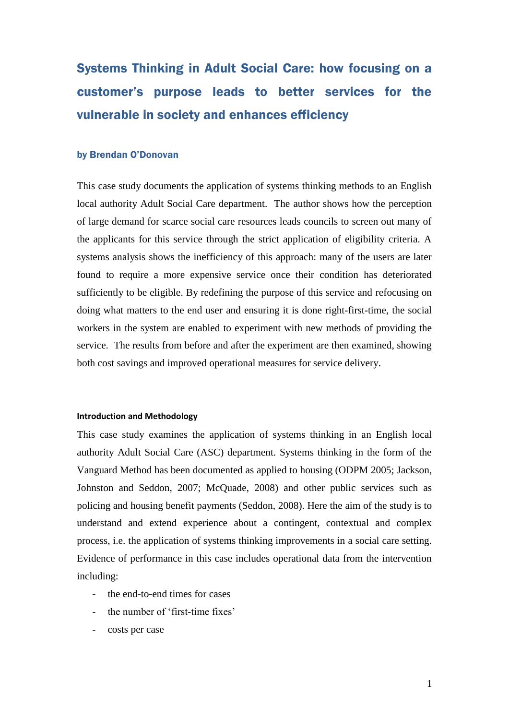# Systems Thinking in Adult Social Care: how focusing on a customer's purpose leads to better services for the vulnerable in society and enhances efficiency

# by Brendan O'Donovan

This case study documents the application of systems thinking methods to an English local authority Adult Social Care department. The author shows how the perception of large demand for scarce social care resources leads councils to screen out many of the applicants for this service through the strict application of eligibility criteria. A systems analysis shows the inefficiency of this approach: many of the users are later found to require a more expensive service once their condition has deteriorated sufficiently to be eligible. By redefining the purpose of this service and refocusing on doing what matters to the end user and ensuring it is done right-first-time, the social workers in the system are enabled to experiment with new methods of providing the service. The results from before and after the experiment are then examined, showing both cost savings and improved operational measures for service delivery.

### **Introduction and Methodology**

This case study examines the application of systems thinking in an English local authority Adult Social Care (ASC) department. Systems thinking in the form of the Vanguard Method has been documented as applied to housing (ODPM 2005; Jackson, Johnston and Seddon, 2007; McQuade, 2008) and other public services such as policing and housing benefit payments (Seddon, 2008). Here the aim of the study is to understand and extend experience about a contingent, contextual and complex process, i.e. the application of systems thinking improvements in a social care setting. Evidence of performance in this case includes operational data from the intervention including:

- the end-to-end times for cases
- the number of 'first-time fixes'
- costs per case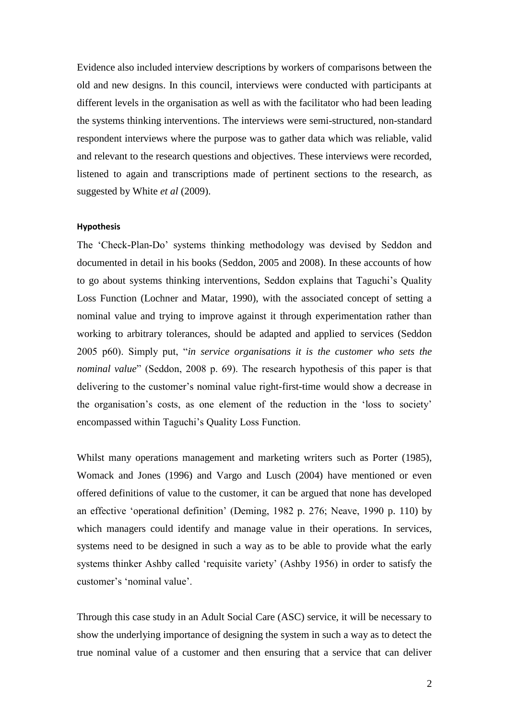Evidence also included interview descriptions by workers of comparisons between the old and new designs. In this council, interviews were conducted with participants at different levels in the organisation as well as with the facilitator who had been leading the systems thinking interventions. The interviews were semi-structured, non-standard respondent interviews where the purpose was to gather data which was reliable, valid and relevant to the research questions and objectives. These interviews were recorded, listened to again and transcriptions made of pertinent sections to the research, as suggested by White *et al* (2009).

### **Hypothesis**

The 'Check-Plan-Do' systems thinking methodology was devised by Seddon and documented in detail in his books (Seddon, 2005 and 2008). In these accounts of how to go about systems thinking interventions, Seddon explains that Taguchi's Quality Loss Function (Lochner and Matar, 1990), with the associated concept of setting a nominal value and trying to improve against it through experimentation rather than working to arbitrary tolerances, should be adapted and applied to services (Seddon 2005 p60). Simply put, "*in service organisations it is the customer who sets the nominal value*" (Seddon, 2008 p. 69). The research hypothesis of this paper is that delivering to the customer's nominal value right-first-time would show a decrease in the organisation's costs, as one element of the reduction in the 'loss to society' encompassed within Taguchi's Quality Loss Function.

Whilst many operations management and marketing writers such as Porter (1985), Womack and Jones (1996) and Vargo and Lusch (2004) have mentioned or even offered definitions of value to the customer, it can be argued that none has developed an effective 'operational definition' (Deming, 1982 p. 276; Neave, 1990 p. 110) by which managers could identify and manage value in their operations. In services, systems need to be designed in such a way as to be able to provide what the early systems thinker Ashby called 'requisite variety' (Ashby 1956) in order to satisfy the customer's 'nominal value'.

Through this case study in an Adult Social Care (ASC) service, it will be necessary to show the underlying importance of designing the system in such a way as to detect the true nominal value of a customer and then ensuring that a service that can deliver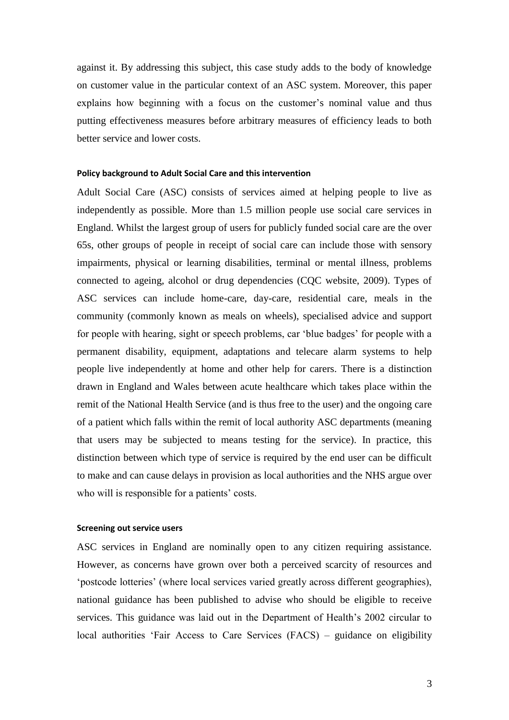against it. By addressing this subject, this case study adds to the body of knowledge on customer value in the particular context of an ASC system. Moreover, this paper explains how beginning with a focus on the customer's nominal value and thus putting effectiveness measures before arbitrary measures of efficiency leads to both better service and lower costs.

### **Policy background to Adult Social Care and this intervention**

Adult Social Care (ASC) consists of services aimed at helping people to live as independently as possible. More than 1.5 million people use social care services in England. Whilst the largest group of users for publicly funded social care are the over 65s, other groups of people in receipt of social care can include those with sensory impairments, physical or learning disabilities, terminal or mental illness, problems connected to ageing, alcohol or drug dependencies (CQC website, 2009). Types of ASC services can include home-care, day-care, residential care, meals in the community (commonly known as meals on wheels), specialised advice and support for people with hearing, sight or speech problems, car 'blue badges' for people with a permanent disability, equipment, adaptations and telecare alarm systems to help people live independently at home and other help for carers. There is a distinction drawn in England and Wales between acute healthcare which takes place within the remit of the National Health Service (and is thus free to the user) and the ongoing care of a patient which falls within the remit of local authority ASC departments (meaning that users may be subjected to means testing for the service). In practice, this distinction between which type of service is required by the end user can be difficult to make and can cause delays in provision as local authorities and the NHS argue over who will is responsible for a patients' costs.

# **Screening out service users**

ASC services in England are nominally open to any citizen requiring assistance. However, as concerns have grown over both a perceived scarcity of resources and 'postcode lotteries' (where local services varied greatly across different geographies), national guidance has been published to advise who should be eligible to receive services. This guidance was laid out in the Department of Health's 2002 circular to local authorities 'Fair Access to Care Services (FACS) – guidance on eligibility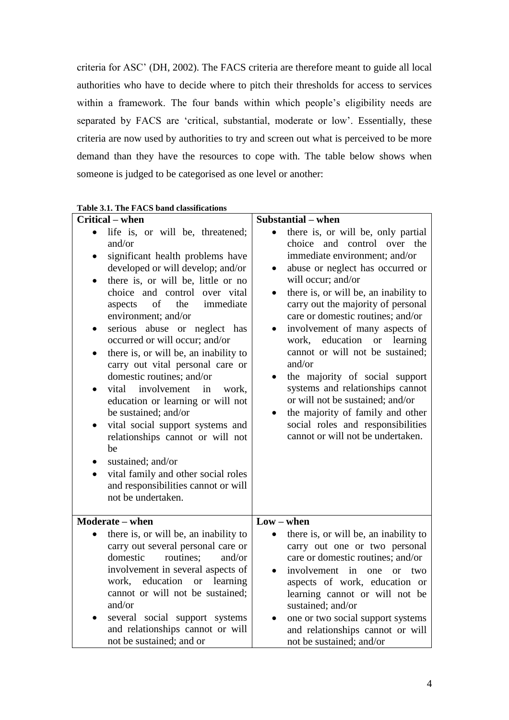criteria for ASC' (DH, 2002). The FACS criteria are therefore meant to guide all local authorities who have to decide where to pitch their thresholds for access to services within a framework. The four bands within which people's eligibility needs are separated by FACS are 'critical, substantial, moderate or low'. Essentially, these criteria are now used by authorities to try and screen out what is perceived to be more demand than they have the resources to cope with. The table below shows when someone is judged to be categorised as one level or another:

|  |  | Table 3.1. The FACS band classifications |
|--|--|------------------------------------------|
|  |  |                                          |

|                                                                            | rabic 5.1. The FACS band classification                                                                                                                                                                                                                                                                                                                                                                                                                                                                                                                                                                                                                                                                                                    |                                                                                                                                                                                                                                                                                                                                                                                                                                                                                                                                                                                                                                                                                |  |  |  |  |
|----------------------------------------------------------------------------|--------------------------------------------------------------------------------------------------------------------------------------------------------------------------------------------------------------------------------------------------------------------------------------------------------------------------------------------------------------------------------------------------------------------------------------------------------------------------------------------------------------------------------------------------------------------------------------------------------------------------------------------------------------------------------------------------------------------------------------------|--------------------------------------------------------------------------------------------------------------------------------------------------------------------------------------------------------------------------------------------------------------------------------------------------------------------------------------------------------------------------------------------------------------------------------------------------------------------------------------------------------------------------------------------------------------------------------------------------------------------------------------------------------------------------------|--|--|--|--|
|                                                                            | Critical – when                                                                                                                                                                                                                                                                                                                                                                                                                                                                                                                                                                                                                                                                                                                            | <b>Substantial – when</b>                                                                                                                                                                                                                                                                                                                                                                                                                                                                                                                                                                                                                                                      |  |  |  |  |
| $\bullet$<br>$\bullet$<br>$\bullet$<br>$\bullet$<br>$\bullet$<br>$\bullet$ | life is, or will be, threatened;<br>and/or<br>significant health problems have<br>developed or will develop; and/or<br>there is, or will be, little or no<br>choice and control over vital<br>of<br>the<br>immediate<br>aspects<br>environment; and/or<br>serious abuse or neglect has<br>occurred or will occur; and/or<br>there is, or will be, an inability to<br>carry out vital personal care or<br>domestic routines; and/or<br>vital involvement<br>in<br>work.<br>education or learning or will not<br>be sustained; and/or<br>vital social support systems and<br>relationships cannot or will not<br>be<br>sustained; and/or<br>vital family and other social roles<br>and responsibilities cannot or will<br>not be undertaken. | there is, or will be, only partial<br>$\bullet$<br>choice and control over the<br>immediate environment; and/or<br>abuse or neglect has occurred or<br>$\bullet$<br>will occur; and/or<br>there is, or will be, an inability to<br>carry out the majority of personal<br>care or domestic routines; and/or<br>involvement of many aspects of<br>education<br>learning<br>work,<br><b>or</b><br>cannot or will not be sustained;<br>and/or<br>the majority of social support<br>systems and relationships cannot<br>or will not be sustained; and/or<br>the majority of family and other<br>$\bullet$<br>social roles and responsibilities<br>cannot or will not be undertaken. |  |  |  |  |
|                                                                            | <b>Moderate – when</b>                                                                                                                                                                                                                                                                                                                                                                                                                                                                                                                                                                                                                                                                                                                     | $Low - when$                                                                                                                                                                                                                                                                                                                                                                                                                                                                                                                                                                                                                                                                   |  |  |  |  |
| $\bullet$                                                                  | there is, or will be, an inability to<br>carry out several personal care or<br>domestic<br>routines:<br>and/or<br>involvement in several aspects of<br>education<br>work,<br><b>or</b><br>learning<br>cannot or will not be sustained;<br>and/or<br>several social support systems<br>and relationships cannot or will<br>not be sustained; and or                                                                                                                                                                                                                                                                                                                                                                                         | there is, or will be, an inability to<br>$\bullet$<br>carry out one or two personal<br>care or domestic routines; and/or<br>involvement in<br>one<br><b>or</b><br>two<br>$\bullet$<br>aspects of work, education or<br>learning cannot or will not be<br>sustained; and/or<br>one or two social support systems<br>and relationships cannot or will<br>not be sustained; and/or                                                                                                                                                                                                                                                                                                |  |  |  |  |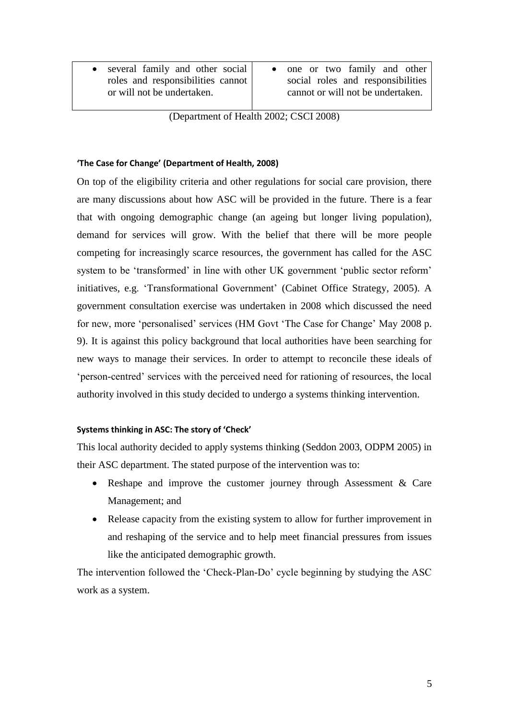several family and other social roles and responsibilities cannot or will not be undertaken.

• one or two family and other social roles and responsibilities cannot or will not be undertaken.

(Department of Health 2002; CSCI 2008)

### **'The Case for Change' (Department of Health, 2008)**

On top of the eligibility criteria and other regulations for social care provision, there are many discussions about how ASC will be provided in the future. There is a fear that with ongoing demographic change (an ageing but longer living population), demand for services will grow. With the belief that there will be more people competing for increasingly scarce resources, the government has called for the ASC system to be 'transformed' in line with other UK government 'public sector reform' initiatives, e.g. 'Transformational Government' (Cabinet Office Strategy, 2005). A government consultation exercise was undertaken in 2008 which discussed the need for new, more 'personalised' services (HM Govt 'The Case for Change' May 2008 p. 9). It is against this policy background that local authorities have been searching for new ways to manage their services. In order to attempt to reconcile these ideals of 'person-centred' services with the perceived need for rationing of resources, the local authority involved in this study decided to undergo a systems thinking intervention.

# **Systems thinking in ASC: The story of 'Check'**

This local authority decided to apply systems thinking (Seddon 2003, ODPM 2005) in their ASC department. The stated purpose of the intervention was to:

- Reshape and improve the customer journey through Assessment & Care Management; and
- Release capacity from the existing system to allow for further improvement in and reshaping of the service and to help meet financial pressures from issues like the anticipated demographic growth.

The intervention followed the 'Check-Plan-Do' cycle beginning by studying the ASC work as a system.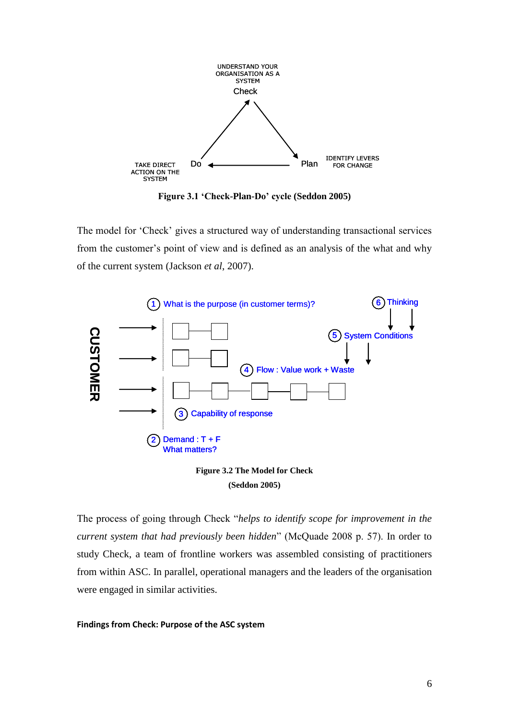

**Figure 3.1 'Check-Plan-Do' cycle (Seddon 2005)**

The model for 'Check' gives a structured way of understanding transactional services from the customer's point of view and is defined as an analysis of the what and why of the current system (Jackson *et al*, 2007).





The process of going through Check "*helps to identify scope for improvement in the current system that had previously been hidden*" (McQuade 2008 p. 57). In order to study Check, a team of frontline workers was assembled consisting of practitioners from within ASC. In parallel, operational managers and the leaders of the organisation were engaged in similar activities.

## **Findings from Check: Purpose of the ASC system**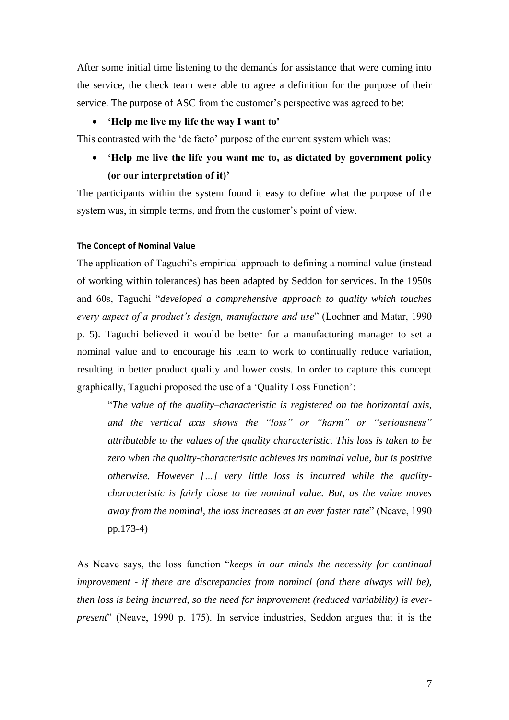After some initial time listening to the demands for assistance that were coming into the service, the check team were able to agree a definition for the purpose of their service. The purpose of ASC from the customer's perspective was agreed to be:

# **'Help me live my life the way I want to'**

This contrasted with the 'de facto' purpose of the current system which was:

 **'Help me live the life you want me to, as dictated by government policy (or our interpretation of it)'**

The participants within the system found it easy to define what the purpose of the system was, in simple terms, and from the customer's point of view.

### **The Concept of Nominal Value**

The application of Taguchi's empirical approach to defining a nominal value (instead of working within tolerances) has been adapted by Seddon for services. In the 1950s and 60s, Taguchi "*developed a comprehensive approach to quality which touches every aspect of a product's design, manufacture and use*" (Lochner and Matar, 1990 p. 5). Taguchi believed it would be better for a manufacturing manager to set a nominal value and to encourage his team to work to continually reduce variation, resulting in better product quality and lower costs. In order to capture this concept graphically, Taguchi proposed the use of a 'Quality Loss Function':

"*The value of the quality–characteristic is registered on the horizontal axis, and the vertical axis shows the "loss" or "harm" or "seriousness" attributable to the values of the quality characteristic. This loss is taken to be zero when the quality-characteristic achieves its nominal value, but is positive otherwise. However […] very little loss is incurred while the qualitycharacteristic is fairly close to the nominal value. But, as the value moves away from the nominal, the loss increases at an ever faster rate*" (Neave, 1990 pp.173-4)

As Neave says, the loss function "*keeps in our minds the necessity for continual improvement - if there are discrepancies from nominal (and there always will be), then loss is being incurred, so the need for improvement (reduced variability) is everpresent*" (Neave, 1990 p. 175). In service industries, Seddon argues that it is the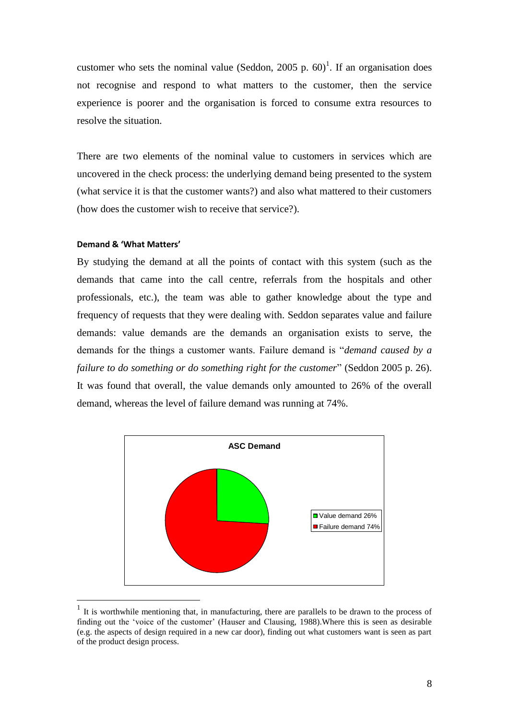customer who sets the nominal value (Seddon, 2005 p.  $60$ )<sup>1</sup>. If an organisation does not recognise and respond to what matters to the customer, then the service experience is poorer and the organisation is forced to consume extra resources to resolve the situation.

There are two elements of the nominal value to customers in services which are uncovered in the check process: the underlying demand being presented to the system (what service it is that the customer wants?) and also what mattered to their customers (how does the customer wish to receive that service?).

# **Demand & 'What Matters'**

1

By studying the demand at all the points of contact with this system (such as the demands that came into the call centre, referrals from the hospitals and other professionals, etc.), the team was able to gather knowledge about the type and frequency of requests that they were dealing with. Seddon separates value and failure demands: value demands are the demands an organisation exists to serve, the demands for the things a customer wants. Failure demand is "*demand caused by a failure to do something or do something right for the customer*" (Seddon 2005 p. 26). It was found that overall, the value demands only amounted to 26% of the overall demand, whereas the level of failure demand was running at 74%.



<sup>1</sup> It is worthwhile mentioning that, in manufacturing, there are parallels to be drawn to the process of finding out the 'voice of the customer' (Hauser and Clausing, 1988).Where this is seen as desirable (e.g. the aspects of design required in a new car door), finding out what customers want is seen as part of the product design process.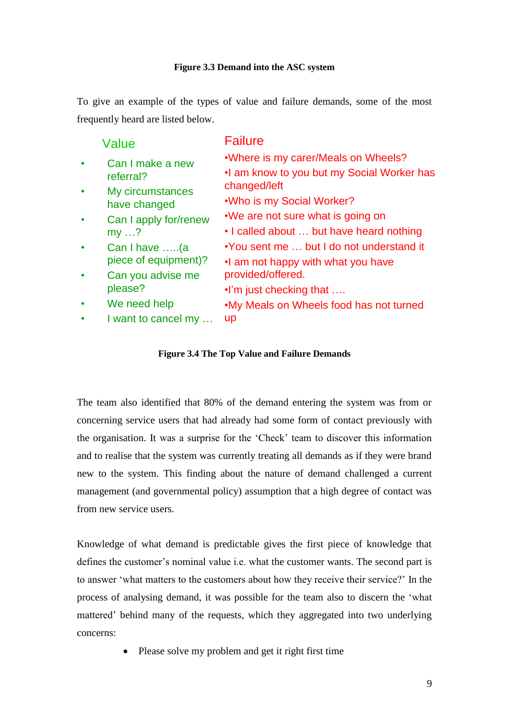# **Figure 3.3 Demand into the ASC system**

To give an example of the types of value and failure demands, some of the most frequently heard are listed below.

| Value                                                                                             | <b>Failure</b>                                                                                                                                                                                                   |
|---------------------------------------------------------------------------------------------------|------------------------------------------------------------------------------------------------------------------------------------------------------------------------------------------------------------------|
| Can I make a new<br>referral?<br>My circumstances<br>have changed<br>Can I apply for/renew<br>my? | .Where is my carer/Meals on Wheels?<br>. I am know to you but my Social Worker has<br>changed/left<br>.Who is my Social Worker?<br>.We are not sure what is going on<br>• I called about  but have heard nothing |
| Can I have (a<br>piece of equipment)?<br>Can you advise me                                        | •You sent me  but I do not understand it<br>. I am not happy with what you have<br>provided/offered.                                                                                                             |
| please?<br>We need help<br>I want to cancel my                                                    | I'm just checking that<br>.My Meals on Wheels food has not turned<br><b>up</b>                                                                                                                                   |

# **Figure 3.4 The Top Value and Failure Demands**

The team also identified that 80% of the demand entering the system was from or concerning service users that had already had some form of contact previously with the organisation. It was a surprise for the 'Check' team to discover this information and to realise that the system was currently treating all demands as if they were brand new to the system. This finding about the nature of demand challenged a current management (and governmental policy) assumption that a high degree of contact was from new service users.

Knowledge of what demand is predictable gives the first piece of knowledge that defines the customer's nominal value i.e. what the customer wants. The second part is to answer 'what matters to the customers about how they receive their service?' In the process of analysing demand, it was possible for the team also to discern the 'what mattered' behind many of the requests, which they aggregated into two underlying concerns:

• Please solve my problem and get it right first time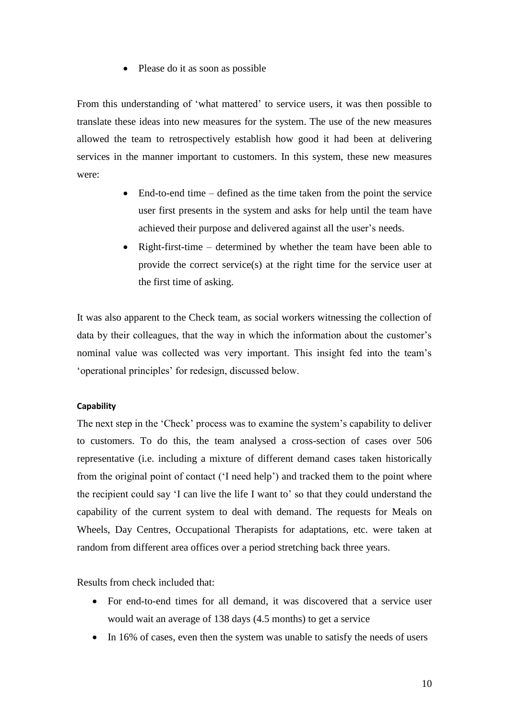• Please do it as soon as possible

From this understanding of 'what mattered' to service users, it was then possible to translate these ideas into new measures for the system. The use of the new measures allowed the team to retrospectively establish how good it had been at delivering services in the manner important to customers. In this system, these new measures were:

- End-to-end time defined as the time taken from the point the service user first presents in the system and asks for help until the team have achieved their purpose and delivered against all the user's needs.
- Right-first-time determined by whether the team have been able to provide the correct service(s) at the right time for the service user at the first time of asking.

It was also apparent to the Check team, as social workers witnessing the collection of data by their colleagues, that the way in which the information about the customer's nominal value was collected was very important. This insight fed into the team's 'operational principles' for redesign, discussed below.

# **Capability**

The next step in the 'Check' process was to examine the system's capability to deliver to customers. To do this, the team analysed a cross-section of cases over 506 representative (i.e. including a mixture of different demand cases taken historically from the original point of contact ('I need help') and tracked them to the point where the recipient could say 'I can live the life I want to' so that they could understand the capability of the current system to deal with demand. The requests for Meals on Wheels, Day Centres, Occupational Therapists for adaptations, etc. were taken at random from different area offices over a period stretching back three years.

Results from check included that:

- For end-to-end times for all demand, it was discovered that a service user would wait an average of 138 days (4.5 months) to get a service
- In 16% of cases, even then the system was unable to satisfy the needs of users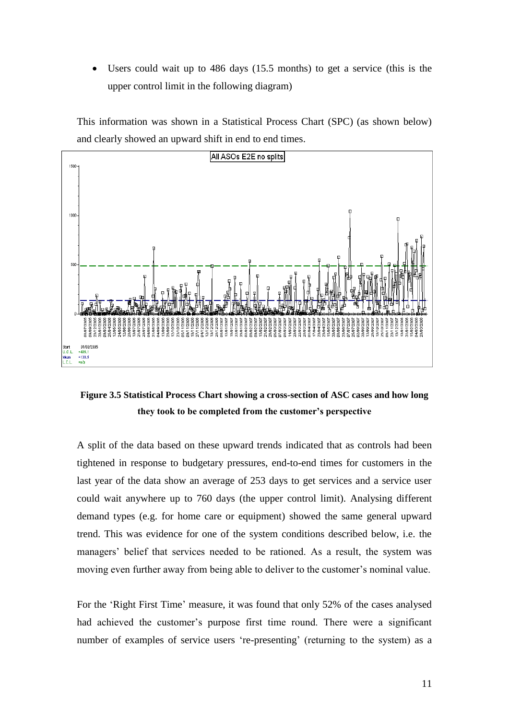Users could wait up to 486 days (15.5 months) to get a service (this is the upper control limit in the following diagram)

This information was shown in a Statistical Process Chart (SPC) (as shown below) and clearly showed an upward shift in end to end times.



# **Figure 3.5 Statistical Process Chart showing a cross-section of ASC cases and how long they took to be completed from the customer's perspective**

A split of the data based on these upward trends indicated that as controls had been tightened in response to budgetary pressures, end-to-end times for customers in the last year of the data show an average of 253 days to get services and a service user could wait anywhere up to 760 days (the upper control limit). Analysing different demand types (e.g. for home care or equipment) showed the same general upward trend. This was evidence for one of the system conditions described below, i.e. the managers' belief that services needed to be rationed. As a result, the system was moving even further away from being able to deliver to the customer's nominal value.

For the 'Right First Time' measure, it was found that only 52% of the cases analysed had achieved the customer's purpose first time round. There were a significant number of examples of service users 're-presenting' (returning to the system) as a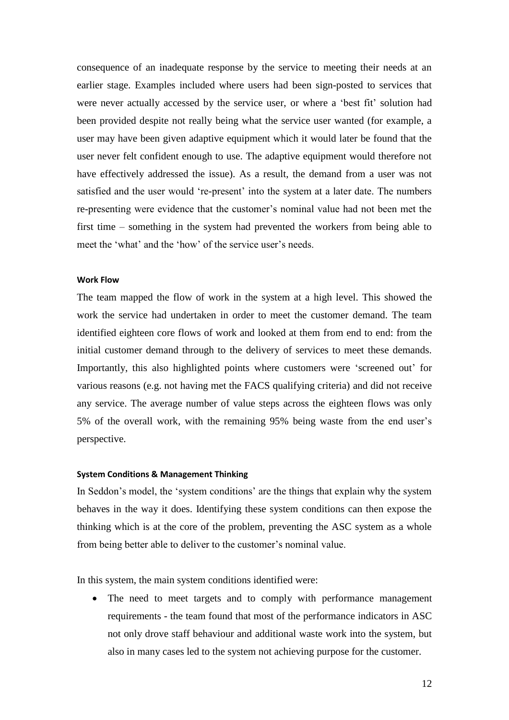consequence of an inadequate response by the service to meeting their needs at an earlier stage. Examples included where users had been sign-posted to services that were never actually accessed by the service user, or where a 'best fit' solution had been provided despite not really being what the service user wanted (for example, a user may have been given adaptive equipment which it would later be found that the user never felt confident enough to use. The adaptive equipment would therefore not have effectively addressed the issue). As a result, the demand from a user was not satisfied and the user would 're-present' into the system at a later date. The numbers re-presenting were evidence that the customer's nominal value had not been met the first time – something in the system had prevented the workers from being able to meet the 'what' and the 'how' of the service user's needs.

### **Work Flow**

The team mapped the flow of work in the system at a high level. This showed the work the service had undertaken in order to meet the customer demand. The team identified eighteen core flows of work and looked at them from end to end: from the initial customer demand through to the delivery of services to meet these demands. Importantly, this also highlighted points where customers were 'screened out' for various reasons (e.g. not having met the FACS qualifying criteria) and did not receive any service. The average number of value steps across the eighteen flows was only 5% of the overall work, with the remaining 95% being waste from the end user's perspective.

### **System Conditions & Management Thinking**

In Seddon's model, the 'system conditions' are the things that explain why the system behaves in the way it does. Identifying these system conditions can then expose the thinking which is at the core of the problem, preventing the ASC system as a whole from being better able to deliver to the customer's nominal value.

In this system, the main system conditions identified were:

• The need to meet targets and to comply with performance management requirements - the team found that most of the performance indicators in ASC not only drove staff behaviour and additional waste work into the system, but also in many cases led to the system not achieving purpose for the customer.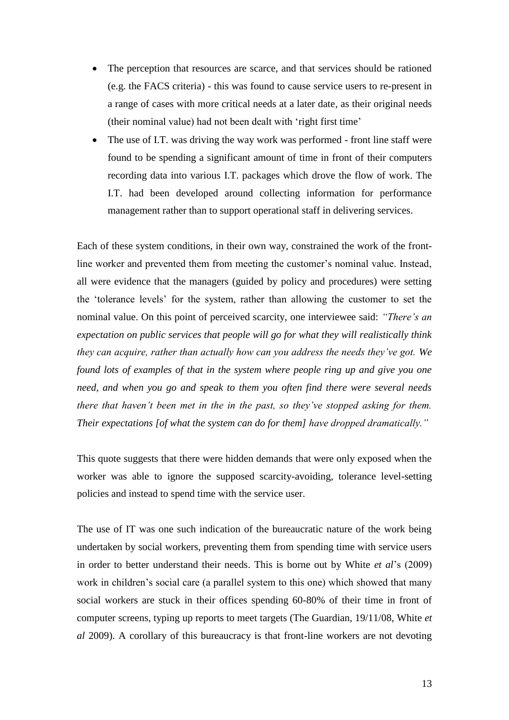- The perception that resources are scarce, and that services should be rationed (e.g. the FACS criteria) - this was found to cause service users to re-present in a range of cases with more critical needs at a later date, as their original needs (their nominal value) had not been dealt with 'right first time'
- The use of I.T. was driving the way work was performed front line staff were found to be spending a significant amount of time in front of their computers recording data into various I.T. packages which drove the flow of work. The I.T. had been developed around collecting information for performance management rather than to support operational staff in delivering services.

Each of these system conditions, in their own way, constrained the work of the frontline worker and prevented them from meeting the customer's nominal value. Instead, all were evidence that the managers (guided by policy and procedures) were setting the 'tolerance levels' for the system, rather than allowing the customer to set the nominal value. On this point of perceived scarcity, one interviewee said: *"There's an expectation on public services that people will go for what they will realistically think they can acquire, rather than actually how can you address the needs they've got. We found lots of examples of that in the system where people ring up and give you one need, and when you go and speak to them you often find there were several needs there that haven't been met in the in the past, so they've stopped asking for them. Their expectations [of what the system can do for them] have dropped dramatically."*

This quote suggests that there were hidden demands that were only exposed when the worker was able to ignore the supposed scarcity-avoiding, tolerance level-setting policies and instead to spend time with the service user.

The use of IT was one such indication of the bureaucratic nature of the work being undertaken by social workers, preventing them from spending time with service users in order to better understand their needs. This is borne out by White *et al*'s (2009) work in children's social care (a parallel system to this one) which showed that many social workers are stuck in their offices spending 60-80% of their time in front of computer screens, typing up reports to meet targets (The Guardian, 19/11/08, White *et al* 2009). A corollary of this bureaucracy is that front-line workers are not devoting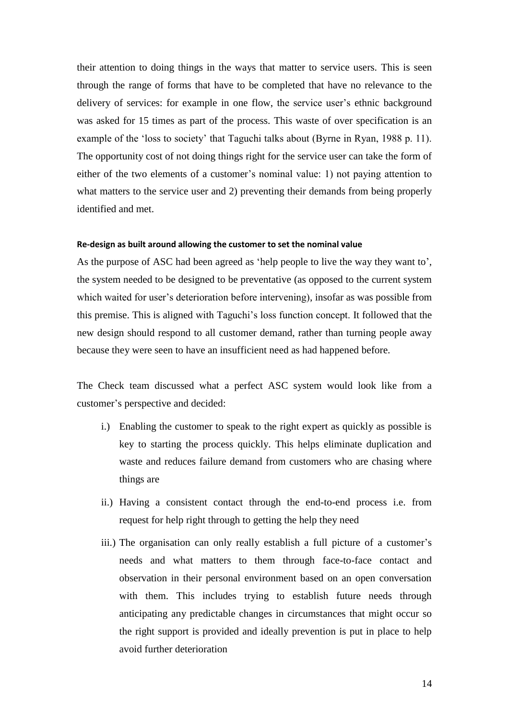their attention to doing things in the ways that matter to service users. This is seen through the range of forms that have to be completed that have no relevance to the delivery of services: for example in one flow, the service user's ethnic background was asked for 15 times as part of the process. This waste of over specification is an example of the 'loss to society' that Taguchi talks about (Byrne in Ryan, 1988 p. 11). The opportunity cost of not doing things right for the service user can take the form of either of the two elements of a customer's nominal value: 1) not paying attention to what matters to the service user and 2) preventing their demands from being properly identified and met.

### **Re-design as built around allowing the customer to set the nominal value**

As the purpose of ASC had been agreed as 'help people to live the way they want to', the system needed to be designed to be preventative (as opposed to the current system which waited for user's deterioration before intervening), insofar as was possible from this premise. This is aligned with Taguchi's loss function concept. It followed that the new design should respond to all customer demand, rather than turning people away because they were seen to have an insufficient need as had happened before.

The Check team discussed what a perfect ASC system would look like from a customer's perspective and decided:

- i.) Enabling the customer to speak to the right expert as quickly as possible is key to starting the process quickly. This helps eliminate duplication and waste and reduces failure demand from customers who are chasing where things are
- ii.) Having a consistent contact through the end-to-end process i.e. from request for help right through to getting the help they need
- iii.) The organisation can only really establish a full picture of a customer's needs and what matters to them through face-to-face contact and observation in their personal environment based on an open conversation with them. This includes trying to establish future needs through anticipating any predictable changes in circumstances that might occur so the right support is provided and ideally prevention is put in place to help avoid further deterioration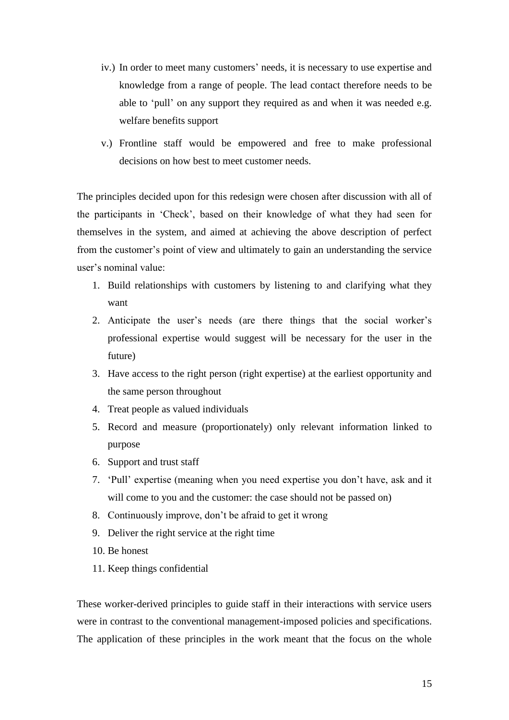- iv.) In order to meet many customers' needs, it is necessary to use expertise and knowledge from a range of people. The lead contact therefore needs to be able to 'pull' on any support they required as and when it was needed e.g. welfare benefits support
- v.) Frontline staff would be empowered and free to make professional decisions on how best to meet customer needs.

The principles decided upon for this redesign were chosen after discussion with all of the participants in 'Check', based on their knowledge of what they had seen for themselves in the system, and aimed at achieving the above description of perfect from the customer's point of view and ultimately to gain an understanding the service user's nominal value:

- 1. Build relationships with customers by listening to and clarifying what they want
- 2. Anticipate the user's needs (are there things that the social worker's professional expertise would suggest will be necessary for the user in the future)
- 3. Have access to the right person (right expertise) at the earliest opportunity and the same person throughout
- 4. Treat people as valued individuals
- 5. Record and measure (proportionately) only relevant information linked to purpose
- 6. Support and trust staff
- 7. 'Pull' expertise (meaning when you need expertise you don't have, ask and it will come to you and the customer: the case should not be passed on)
- 8. Continuously improve, don't be afraid to get it wrong
- 9. Deliver the right service at the right time
- 10. Be honest
- 11. Keep things confidential

These worker-derived principles to guide staff in their interactions with service users were in contrast to the conventional management-imposed policies and specifications. The application of these principles in the work meant that the focus on the whole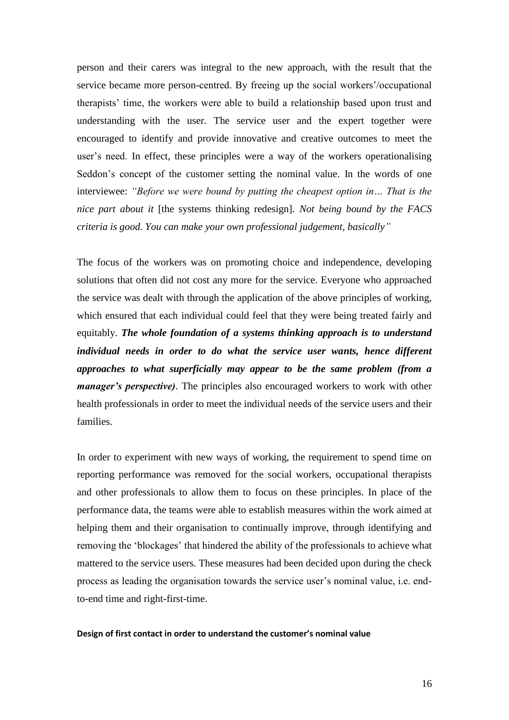person and their carers was integral to the new approach, with the result that the service became more person-centred. By freeing up the social workers'/occupational therapists' time, the workers were able to build a relationship based upon trust and understanding with the user. The service user and the expert together were encouraged to identify and provide innovative and creative outcomes to meet the user's need. In effect, these principles were a way of the workers operationalising Seddon's concept of the customer setting the nominal value. In the words of one interviewee: *"Before we were bound by putting the cheapest option in… That is the nice part about it* [the systems thinking redesign]*. Not being bound by the FACS criteria is good. You can make your own professional judgement, basically"*

The focus of the workers was on promoting choice and independence, developing solutions that often did not cost any more for the service. Everyone who approached the service was dealt with through the application of the above principles of working, which ensured that each individual could feel that they were being treated fairly and equitably. *The whole foundation of a systems thinking approach is to understand individual needs in order to do what the service user wants, hence different approaches to what superficially may appear to be the same problem (from a manager's perspective)*. The principles also encouraged workers to work with other health professionals in order to meet the individual needs of the service users and their families.

In order to experiment with new ways of working, the requirement to spend time on reporting performance was removed for the social workers, occupational therapists and other professionals to allow them to focus on these principles. In place of the performance data, the teams were able to establish measures within the work aimed at helping them and their organisation to continually improve, through identifying and removing the 'blockages' that hindered the ability of the professionals to achieve what mattered to the service users. These measures had been decided upon during the check process as leading the organisation towards the service user's nominal value, i.e. endto-end time and right-first-time.

### **Design of first contact in order to understand the customer's nominal value**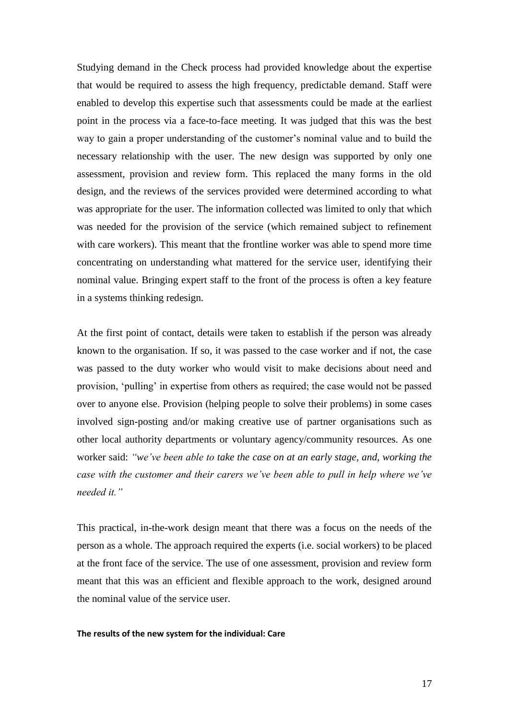Studying demand in the Check process had provided knowledge about the expertise that would be required to assess the high frequency, predictable demand. Staff were enabled to develop this expertise such that assessments could be made at the earliest point in the process via a face-to-face meeting. It was judged that this was the best way to gain a proper understanding of the customer's nominal value and to build the necessary relationship with the user. The new design was supported by only one assessment, provision and review form. This replaced the many forms in the old design, and the reviews of the services provided were determined according to what was appropriate for the user. The information collected was limited to only that which was needed for the provision of the service (which remained subject to refinement with care workers). This meant that the frontline worker was able to spend more time concentrating on understanding what mattered for the service user, identifying their nominal value. Bringing expert staff to the front of the process is often a key feature in a systems thinking redesign.

At the first point of contact, details were taken to establish if the person was already known to the organisation. If so, it was passed to the case worker and if not, the case was passed to the duty worker who would visit to make decisions about need and provision, 'pulling' in expertise from others as required; the case would not be passed over to anyone else. Provision (helping people to solve their problems) in some cases involved sign-posting and/or making creative use of partner organisations such as other local authority departments or voluntary agency/community resources. As one worker said: *"we've been able to take the case on at an early stage, and, working the case with the customer and their carers we've been able to pull in help where we've needed it."*

This practical, in-the-work design meant that there was a focus on the needs of the person as a whole. The approach required the experts (i.e. social workers) to be placed at the front face of the service. The use of one assessment, provision and review form meant that this was an efficient and flexible approach to the work, designed around the nominal value of the service user.

### **The results of the new system for the individual: Care**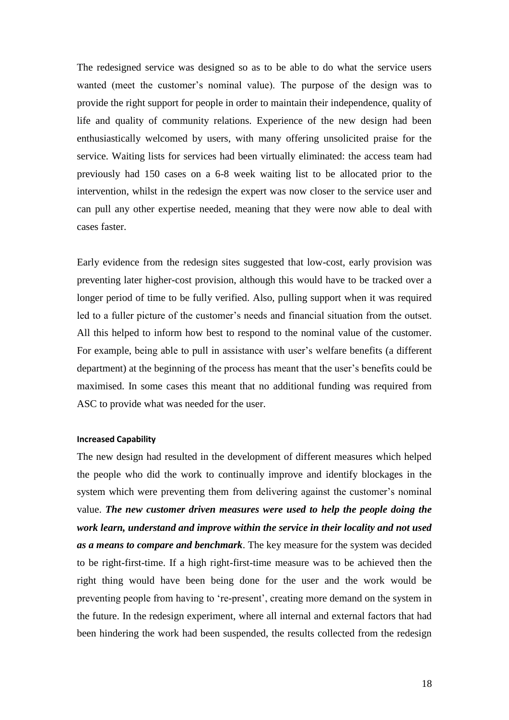The redesigned service was designed so as to be able to do what the service users wanted (meet the customer's nominal value). The purpose of the design was to provide the right support for people in order to maintain their independence, quality of life and quality of community relations. Experience of the new design had been enthusiastically welcomed by users, with many offering unsolicited praise for the service. Waiting lists for services had been virtually eliminated: the access team had previously had 150 cases on a 6-8 week waiting list to be allocated prior to the intervention, whilst in the redesign the expert was now closer to the service user and can pull any other expertise needed, meaning that they were now able to deal with cases faster.

Early evidence from the redesign sites suggested that low-cost, early provision was preventing later higher-cost provision, although this would have to be tracked over a longer period of time to be fully verified. Also, pulling support when it was required led to a fuller picture of the customer's needs and financial situation from the outset. All this helped to inform how best to respond to the nominal value of the customer. For example, being able to pull in assistance with user's welfare benefits (a different department) at the beginning of the process has meant that the user's benefits could be maximised. In some cases this meant that no additional funding was required from ASC to provide what was needed for the user.

### **Increased Capability**

The new design had resulted in the development of different measures which helped the people who did the work to continually improve and identify blockages in the system which were preventing them from delivering against the customer's nominal value. *The new customer driven measures were used to help the people doing the work learn, understand and improve within the service in their locality and not used as a means to compare and benchmark*. The key measure for the system was decided to be right-first-time. If a high right-first-time measure was to be achieved then the right thing would have been being done for the user and the work would be preventing people from having to 're-present', creating more demand on the system in the future. In the redesign experiment, where all internal and external factors that had been hindering the work had been suspended, the results collected from the redesign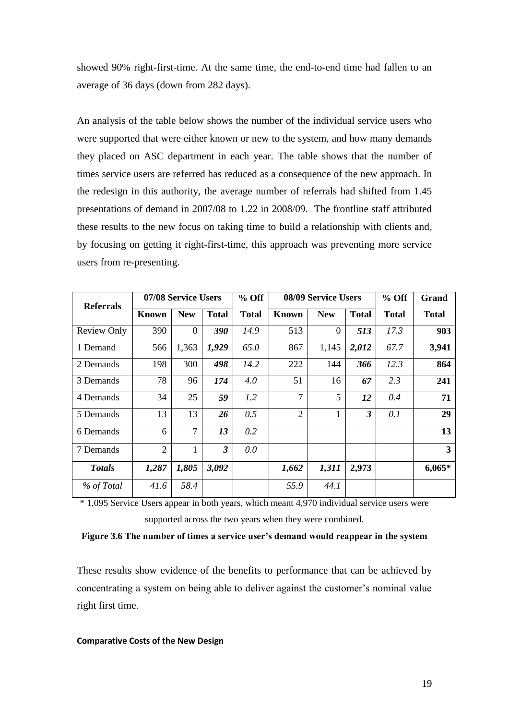showed 90% right-first-time. At the same time, the end-to-end time had fallen to an average of 36 days (down from 282 days).

An analysis of the table below shows the number of the individual service users who were supported that were either known or new to the system, and how many demands they placed on ASC department in each year. The table shows that the number of times service users are referred has reduced as a consequence of the new approach. In the redesign in this authority, the average number of referrals had shifted from 1.45 presentations of demand in 2007/08 to 1.22 in 2008/09. The frontline staff attributed these results to the new focus on taking time to build a relationship with clients and, by focusing on getting it right-first-time, this approach was preventing more service users from re-presenting.

| <b>Referrals</b> | 07/08 Service Users |            |                         | $%$ Off      | 08/09 Service Users |            |              | $%$ Off      | Grand        |
|------------------|---------------------|------------|-------------------------|--------------|---------------------|------------|--------------|--------------|--------------|
|                  | Known               | <b>New</b> | <b>Total</b>            | <b>Total</b> | Known               | <b>New</b> | <b>Total</b> | <b>Total</b> | <b>Total</b> |
| Review Only      | 390                 | $\theta$   | 390                     | 14.9         | 513                 | $\Omega$   | 513          | 17.3         | 903          |
| 1 Demand         | 566                 | 1,363      | 1,929                   | 65.0         | 867                 | 1,145      | 2,012        | 67.7         | 3,941        |
| 2 Demands        | 198                 | 300        | 498                     | 14.2         | 222                 | 144        | 366          | 12.3         | 864          |
| 3 Demands        | 78                  | 96         | 174                     | 4.0          | 51                  | 16         | 67           | 2.3          | 241          |
| 4 Demands        | 34                  | 25         | 59                      | 1.2          | $\overline{7}$      | 5          | 12           | 0.4          | 71           |
| 5 Demands        | 13                  | 13         | 26                      | 0.5          | $\overline{2}$      | 1          | 3            | 0.1          | 29           |
| 6 Demands        | 6                   | 7          | 13                      | 0.2          |                     |            |              |              | 13           |
| 7 Demands        | $\overline{2}$      | 1          | $\overline{\mathbf{3}}$ | 0.0          |                     |            |              |              | 3            |
| <b>Totals</b>    | 1,287               | 1,805      | 3,092                   |              | 1,662               | 1,311      | 2,973        |              | $6,065*$     |
| % of Total       | 41.6                | 58.4       |                         |              | 55.9                | 44.1       |              |              |              |

\* 1,095 Service Users appear in both years, which meant 4,970 individual service users were supported across the two years when they were combined.

### **Figure 3.6 The number of times a service user's demand would reappear in the system**

These results show evidence of the benefits to performance that can be achieved by concentrating a system on being able to deliver against the customer's nominal value right first time.

### **Comparative Costs of the New Design**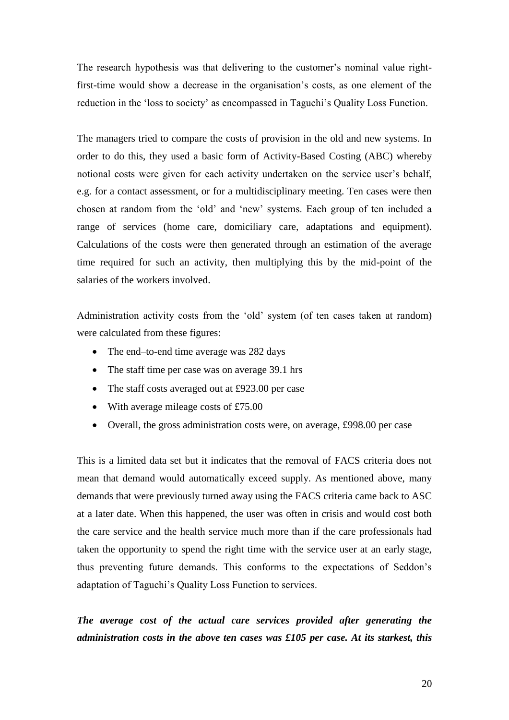The research hypothesis was that delivering to the customer's nominal value rightfirst-time would show a decrease in the organisation's costs, as one element of the reduction in the 'loss to society' as encompassed in Taguchi's Quality Loss Function.

The managers tried to compare the costs of provision in the old and new systems. In order to do this, they used a basic form of Activity-Based Costing (ABC) whereby notional costs were given for each activity undertaken on the service user's behalf, e.g. for a contact assessment, or for a multidisciplinary meeting. Ten cases were then chosen at random from the 'old' and 'new' systems. Each group of ten included a range of services (home care, domiciliary care, adaptations and equipment). Calculations of the costs were then generated through an estimation of the average time required for such an activity, then multiplying this by the mid-point of the salaries of the workers involved.

Administration activity costs from the 'old' system (of ten cases taken at random) were calculated from these figures:

- The end–to-end time average was 282 days
- The staff time per case was on average 39.1 hrs
- The staff costs averaged out at £923.00 per case
- With average mileage costs of  $£75.00$
- Overall, the gross administration costs were, on average, £998.00 per case

This is a limited data set but it indicates that the removal of FACS criteria does not mean that demand would automatically exceed supply. As mentioned above, many demands that were previously turned away using the FACS criteria came back to ASC at a later date. When this happened, the user was often in crisis and would cost both the care service and the health service much more than if the care professionals had taken the opportunity to spend the right time with the service user at an early stage, thus preventing future demands. This conforms to the expectations of Seddon's adaptation of Taguchi's Quality Loss Function to services.

*The average cost of the actual care services provided after generating the administration costs in the above ten cases was £105 per case. At its starkest, this*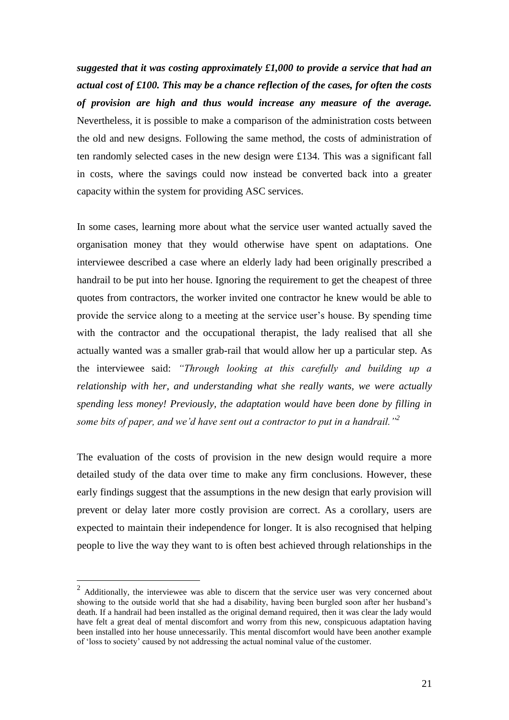*suggested that it was costing approximately £1,000 to provide a service that had an actual cost of £100. This may be a chance reflection of the cases, for often the costs of provision are high and thus would increase any measure of the average.* Nevertheless, it is possible to make a comparison of the administration costs between the old and new designs. Following the same method, the costs of administration of ten randomly selected cases in the new design were £134. This was a significant fall in costs, where the savings could now instead be converted back into a greater capacity within the system for providing ASC services.

In some cases, learning more about what the service user wanted actually saved the organisation money that they would otherwise have spent on adaptations. One interviewee described a case where an elderly lady had been originally prescribed a handrail to be put into her house. Ignoring the requirement to get the cheapest of three quotes from contractors, the worker invited one contractor he knew would be able to provide the service along to a meeting at the service user's house. By spending time with the contractor and the occupational therapist, the lady realised that all she actually wanted was a smaller grab-rail that would allow her up a particular step. As the interviewee said: *"Through looking at this carefully and building up a relationship with her, and understanding what she really wants, we were actually spending less money! Previously, the adaptation would have been done by filling in some bits of paper, and we'd have sent out a contractor to put in a handrail."<sup>2</sup>*

The evaluation of the costs of provision in the new design would require a more detailed study of the data over time to make any firm conclusions. However, these early findings suggest that the assumptions in the new design that early provision will prevent or delay later more costly provision are correct. As a corollary, users are expected to maintain their independence for longer. It is also recognised that helping people to live the way they want to is often best achieved through relationships in the

<sup>&</sup>lt;sup>2</sup> Additionally, the interviewee was able to discern that the service user was very concerned about showing to the outside world that she had a disability, having been burgled soon after her husband's death. If a handrail had been installed as the original demand required, then it was clear the lady would have felt a great deal of mental discomfort and worry from this new, conspicuous adaptation having been installed into her house unnecessarily. This mental discomfort would have been another example of 'loss to society' caused by not addressing the actual nominal value of the customer.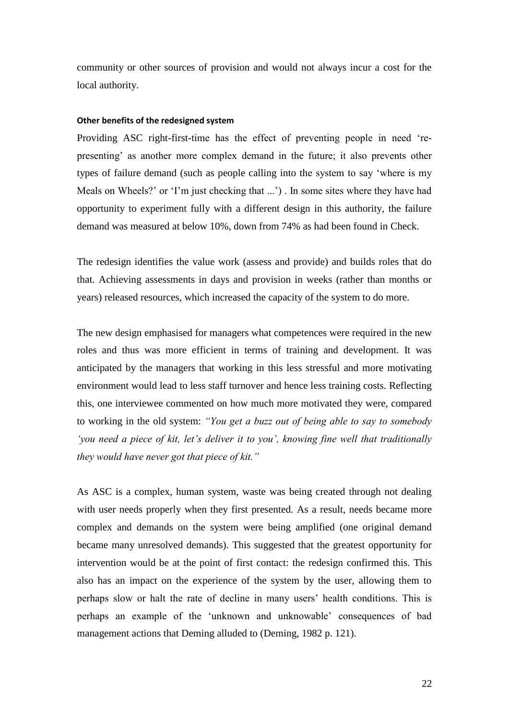community or other sources of provision and would not always incur a cost for the local authority.

# **Other benefits of the redesigned system**

Providing ASC right-first-time has the effect of preventing people in need 'representing' as another more complex demand in the future; it also prevents other types of failure demand (such as people calling into the system to say 'where is my Meals on Wheels?' or 'I'm just checking that ...') . In some sites where they have had opportunity to experiment fully with a different design in this authority, the failure demand was measured at below 10%, down from 74% as had been found in Check.

The redesign identifies the value work (assess and provide) and builds roles that do that. Achieving assessments in days and provision in weeks (rather than months or years) released resources, which increased the capacity of the system to do more.

The new design emphasised for managers what competences were required in the new roles and thus was more efficient in terms of training and development. It was anticipated by the managers that working in this less stressful and more motivating environment would lead to less staff turnover and hence less training costs. Reflecting this, one interviewee commented on how much more motivated they were, compared to working in the old system: *"You get a buzz out of being able to say to somebody 'you need a piece of kit, let's deliver it to you', knowing fine well that traditionally they would have never got that piece of kit."*

As ASC is a complex, human system, waste was being created through not dealing with user needs properly when they first presented. As a result, needs became more complex and demands on the system were being amplified (one original demand became many unresolved demands). This suggested that the greatest opportunity for intervention would be at the point of first contact: the redesign confirmed this. This also has an impact on the experience of the system by the user, allowing them to perhaps slow or halt the rate of decline in many users' health conditions. This is perhaps an example of the 'unknown and unknowable' consequences of bad management actions that Deming alluded to (Deming, 1982 p. 121).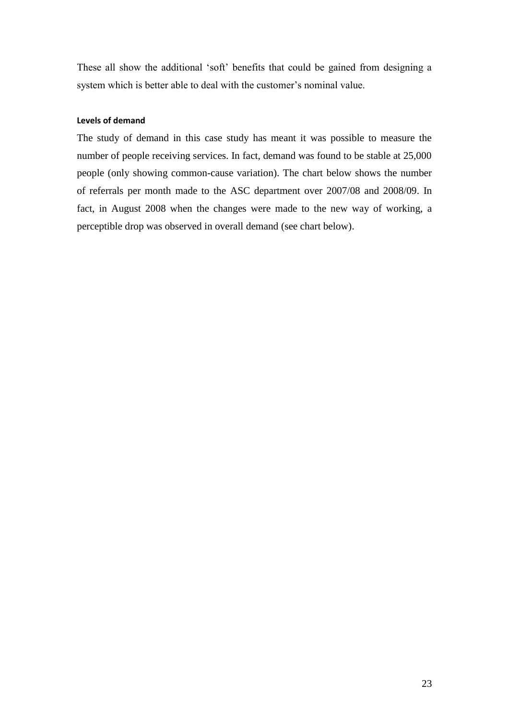These all show the additional 'soft' benefits that could be gained from designing a system which is better able to deal with the customer's nominal value.

# **Levels of demand**

The study of demand in this case study has meant it was possible to measure the number of people receiving services. In fact, demand was found to be stable at 25,000 people (only showing common-cause variation). The chart below shows the number of referrals per month made to the ASC department over 2007/08 and 2008/09. In fact, in August 2008 when the changes were made to the new way of working, a perceptible drop was observed in overall demand (see chart below).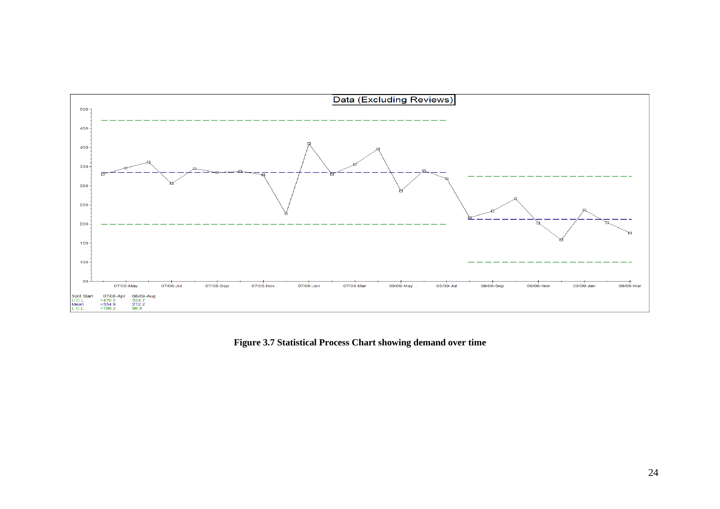

**Figure 3.7 Statistical Process Chart showing demand over time**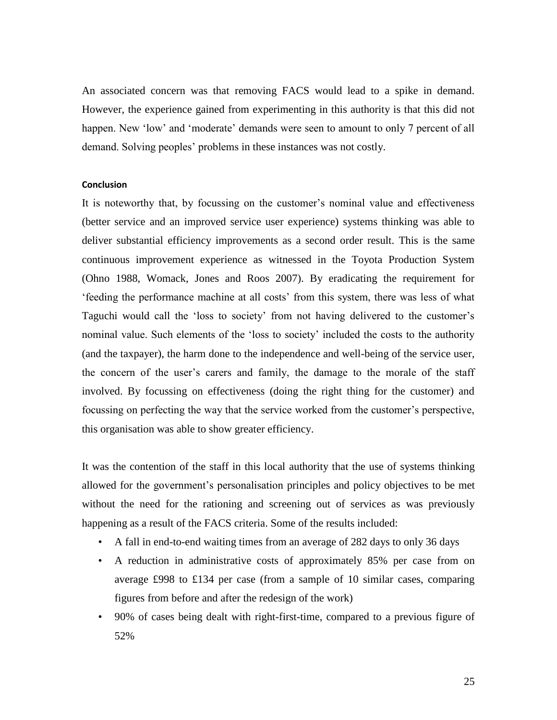An associated concern was that removing FACS would lead to a spike in demand. However, the experience gained from experimenting in this authority is that this did not happen. New 'low' and 'moderate' demands were seen to amount to only 7 percent of all demand. Solving peoples' problems in these instances was not costly.

### **Conclusion**

It is noteworthy that, by focussing on the customer's nominal value and effectiveness (better service and an improved service user experience) systems thinking was able to deliver substantial efficiency improvements as a second order result. This is the same continuous improvement experience as witnessed in the Toyota Production System (Ohno 1988, Womack, Jones and Roos 2007). By eradicating the requirement for 'feeding the performance machine at all costs' from this system, there was less of what Taguchi would call the 'loss to society' from not having delivered to the customer's nominal value. Such elements of the 'loss to society' included the costs to the authority (and the taxpayer), the harm done to the independence and well-being of the service user, the concern of the user's carers and family, the damage to the morale of the staff involved. By focussing on effectiveness (doing the right thing for the customer) and focussing on perfecting the way that the service worked from the customer's perspective, this organisation was able to show greater efficiency.

It was the contention of the staff in this local authority that the use of systems thinking allowed for the government's personalisation principles and policy objectives to be met without the need for the rationing and screening out of services as was previously happening as a result of the FACS criteria. Some of the results included:

- A fall in end-to-end waiting times from an average of 282 days to only 36 days
- A reduction in administrative costs of approximately 85% per case from on average £998 to £134 per case (from a sample of 10 similar cases, comparing figures from before and after the redesign of the work)
- 90% of cases being dealt with right-first-time, compared to a previous figure of 52%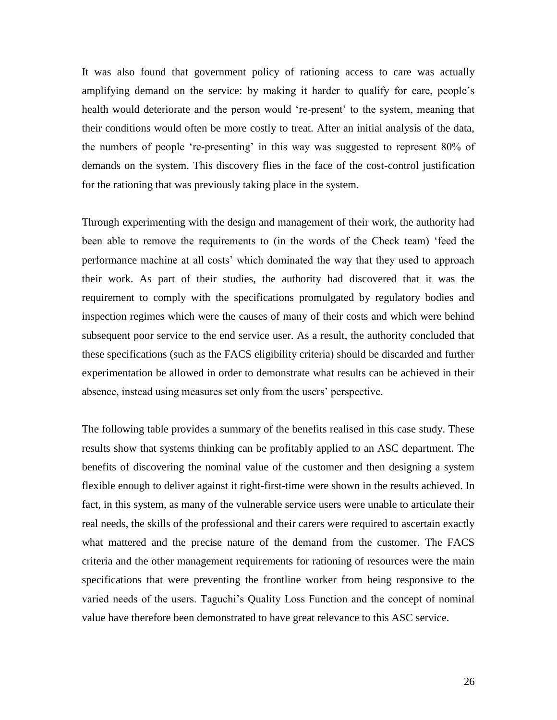It was also found that government policy of rationing access to care was actually amplifying demand on the service: by making it harder to qualify for care, people's health would deteriorate and the person would 're-present' to the system, meaning that their conditions would often be more costly to treat. After an initial analysis of the data, the numbers of people 're-presenting' in this way was suggested to represent 80% of demands on the system. This discovery flies in the face of the cost-control justification for the rationing that was previously taking place in the system.

Through experimenting with the design and management of their work, the authority had been able to remove the requirements to (in the words of the Check team) 'feed the performance machine at all costs' which dominated the way that they used to approach their work. As part of their studies, the authority had discovered that it was the requirement to comply with the specifications promulgated by regulatory bodies and inspection regimes which were the causes of many of their costs and which were behind subsequent poor service to the end service user. As a result, the authority concluded that these specifications (such as the FACS eligibility criteria) should be discarded and further experimentation be allowed in order to demonstrate what results can be achieved in their absence, instead using measures set only from the users' perspective.

The following table provides a summary of the benefits realised in this case study. These results show that systems thinking can be profitably applied to an ASC department. The benefits of discovering the nominal value of the customer and then designing a system flexible enough to deliver against it right-first-time were shown in the results achieved. In fact, in this system, as many of the vulnerable service users were unable to articulate their real needs, the skills of the professional and their carers were required to ascertain exactly what mattered and the precise nature of the demand from the customer. The FACS criteria and the other management requirements for rationing of resources were the main specifications that were preventing the frontline worker from being responsive to the varied needs of the users. Taguchi's Quality Loss Function and the concept of nominal value have therefore been demonstrated to have great relevance to this ASC service.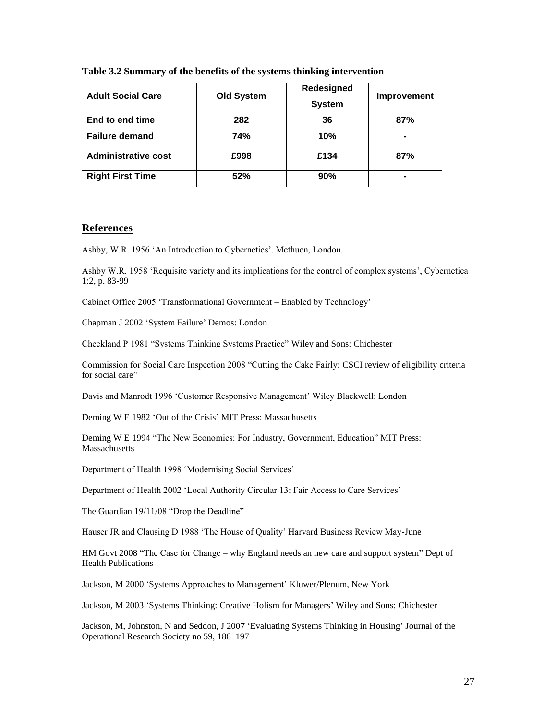| <b>Adult Social Care</b>   | <b>Old System</b> | Redesigned<br><b>System</b> | Improvement |  |
|----------------------------|-------------------|-----------------------------|-------------|--|
| End to end time            | 282               | 36                          | 87%         |  |
| <b>Failure demand</b>      | <b>74%</b>        | 10%                         | -           |  |
| <b>Administrative cost</b> | £998              | £134                        | 87%         |  |
| <b>Right First Time</b>    | 52%               | 90%                         |             |  |

#### **Table 3.2 Summary of the benefits of the systems thinking intervention**

### **References**

Ashby, W.R. 1956 'An Introduction to Cybernetics'. Methuen, London.

Ashby W.R. 1958 'Requisite variety and its implications for the control of complex systems', Cybernetica 1:2, p. 83-99

Cabinet Office 2005 'Transformational Government – Enabled by Technology'

Chapman J 2002 'System Failure' Demos: London

Checkland P 1981 "Systems Thinking Systems Practice" Wiley and Sons: Chichester

Commission for Social Care Inspection 2008 "Cutting the Cake Fairly: CSCI review of eligibility criteria for social care"

Davis and Manrodt 1996 'Customer Responsive Management' Wiley Blackwell: London

Deming W E 1982 'Out of the Crisis' MIT Press: Massachusetts

Deming W E 1994 "The New Economics: For Industry, Government, Education" MIT Press: **Massachusetts** 

Department of Health 1998 'Modernising Social Services'

Department of Health 2002 'Local Authority Circular 13: Fair Access to Care Services'

The Guardian 19/11/08 "Drop the Deadline"

Hauser JR and Clausing D 1988 'The House of Quality' Harvard Business Review May-June

HM Govt 2008 "The Case for Change – why England needs an new care and support system" Dept of Health Publications

Jackson, M 2000 'Systems Approaches to Management' Kluwer/Plenum, New York

Jackson, M 2003 'Systems Thinking: Creative Holism for Managers' Wiley and Sons: Chichester

Jackson, M, Johnston, N and Seddon, J 2007 'Evaluating Systems Thinking in Housing' Journal of the Operational Research Society no 59, 186–197